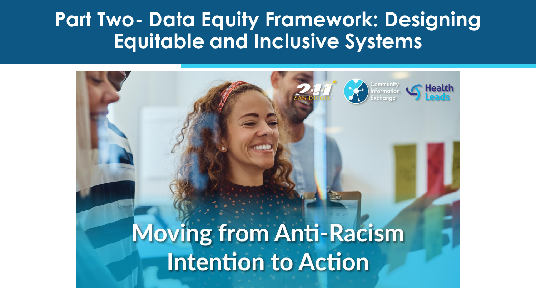### **Part Two- Data Equity Framework: Designing Equitable and Inclusive Systems**

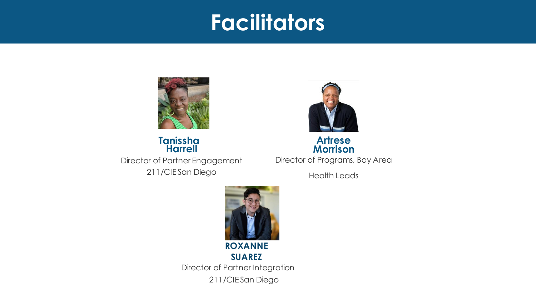### **Facilitation Facilitators**



Director of Partner Engagement **Tanissha** 211/CIE San Diego **Harrell**



#### Director of Programs, Bay Area **Artrese Morrison**

Health Leads



**SUAREZ** Director of Partner Integration 211/CIE San Diego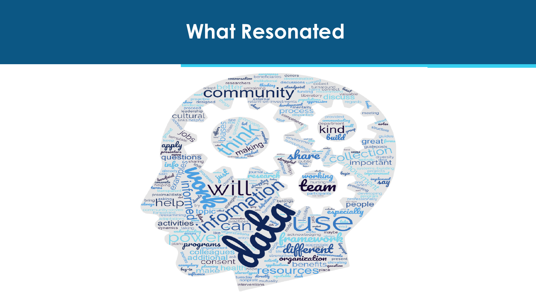### **What Resonated**

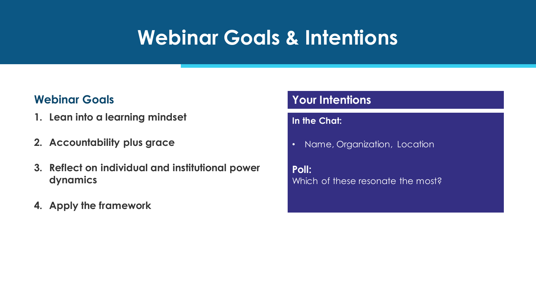# **Webinar Goals & Intentions**

### **Webinar Goals**

- **1. Lean into a learning mindset**
- **2. Accountability plus grace**
- **3. Reflect on individual and institutional power dynamics**
- **4. Apply the framework**

### **Your Intentions**

#### **In the Chat:**

• Name, Organization, Location

**Poll:** Which of these resonate the most?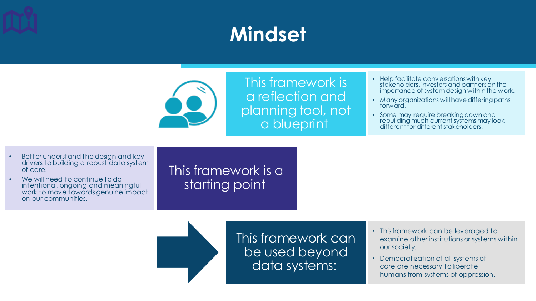# **Mindset**



This framework is a reflection and planning tool, not a blueprint

- Help facilitate conversations with key stakeholders, investors and partners on the importance of system design within the work.
- Many organizations will have differing paths forward.
- Some may require breaking down and rebuilding much current systems may look different for different stakeholders.

- Better understand the design and key drivers tobuilding a robust data system of care.
- We will need to continue to do intentional, ongoing and meaningful work to move fowards genuine impact on our communities.

This framework is a starting point

> This framework can be used beyond data systems:

- This framework can be leveraged to examine other institutions or systems within our society.
- Democratization of all systems of care are necessary to liberate humans from systems of oppression.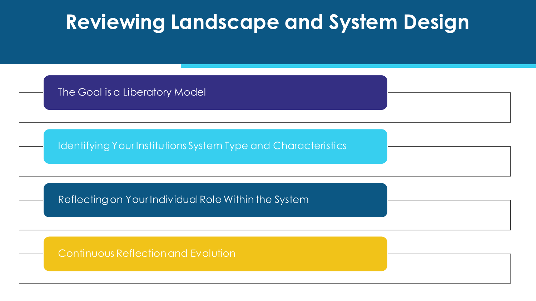### **Reviewing Landscape and System Design**

The Goal is a Liberatory Model

Identifying Your Institutions System Type and Characteristics

Reflecting on Your Individual Role Within the System

Continuous Reflection and Evolution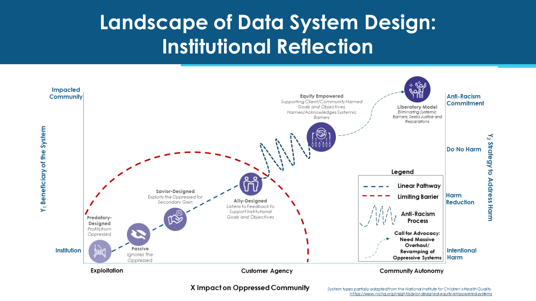# **Landscape of Data System Design: Institutional Reflection**



X Impact on Oppressed Community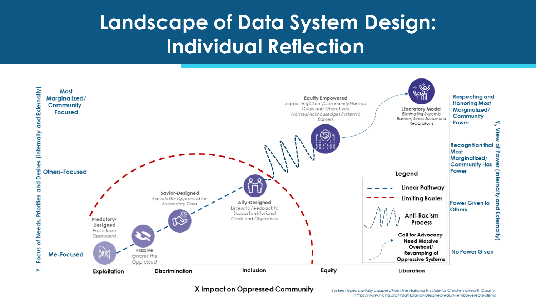# **Landscape of Data System Design: Individual Reflection**



X Impact on Oppressed Community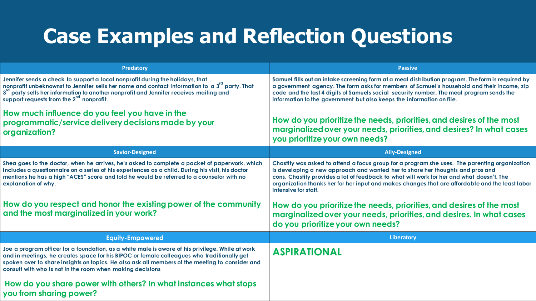# **Case Examples and Reflection Questions**

| <b>Predatory</b>                                                                                                                                                                                                                                                                                                                                               | <b>Passive</b>                                                                                                                                                                                                                                                                                                                                                                                          |
|----------------------------------------------------------------------------------------------------------------------------------------------------------------------------------------------------------------------------------------------------------------------------------------------------------------------------------------------------------------|---------------------------------------------------------------------------------------------------------------------------------------------------------------------------------------------------------------------------------------------------------------------------------------------------------------------------------------------------------------------------------------------------------|
| Jennifer sends a check to support a local nonprofit during the holidays, that<br>nonprofit unbeknownst to Jennifer sells her name and contact information to a 3 <sup>rd</sup> party. That<br>3 <sup>rd</sup> party sells her information to another nonprofit and Jennifer receives mailing and<br>support requests from the 2 <sup>nd</sup> nonprofit.       | Samuel fills out an intake screening form at a meal distribution program. The form is required by<br>a government agency. The form asks for members of Samuel's household and their income, zip<br>code and the last 4 digits of Samuels social security number. The meal program sends the<br>information to the government but also keeps the information on file.                                    |
| How much influence do you feel you have in the<br>programmatic/service delivery decisions made by your<br>organization?                                                                                                                                                                                                                                        | How do you prioritize the needs, priorities, and desires of the most<br>marginalized over your needs, priorities, and desires? In what cases<br>you prioritize your own needs?                                                                                                                                                                                                                          |
| <b>Savior-Designed</b>                                                                                                                                                                                                                                                                                                                                         | <b>Ally-Designed</b>                                                                                                                                                                                                                                                                                                                                                                                    |
| Shea goes to the doctor, when he arrives, he's asked to complete a packet of paperwork, which<br>includes a questionnaire on a series of his experiences as a child. During his visit, his doctor<br>mentions he has a high "ACES" score and told he would be referred to a counselor with no<br>explanation of why.                                           | Chastity was asked to attend a focus group for a program she uses. The parenting organization<br>is developing a new approach and wanted her to share her thoughts and pros and<br>cons. Chastity provides a lot of feedback to what will work for her and what doesn't. The<br>organization thanks her for her input and makes changes that are affordable and the least labor<br>intensive for staff. |
| How do you respect and honor the existing power of the community<br>and the most marginalized in your work?                                                                                                                                                                                                                                                    | How do you prioritize the needs, priorities, and desires of the most<br>marginalized over your needs, priorities, and desires. In what cases<br>do you prioritize your own needs?                                                                                                                                                                                                                       |
| <b>Equity-Empowered</b>                                                                                                                                                                                                                                                                                                                                        | Liberatory                                                                                                                                                                                                                                                                                                                                                                                              |
| Joe a program officer for a foundation, as a white male is aware of his privilege. While at work<br>and in meetings, he creates space for his BIPOC or female colleagues who traditionally get<br>spoken over to share insights on topics. He also ask all members of the meeting to consider and<br>consult with who is not in the room when making decisions | <b>ASPIRATIONAL</b>                                                                                                                                                                                                                                                                                                                                                                                     |
| How do you share power with others? In what instances what stops<br>you from sharing power?                                                                                                                                                                                                                                                                    |                                                                                                                                                                                                                                                                                                                                                                                                         |